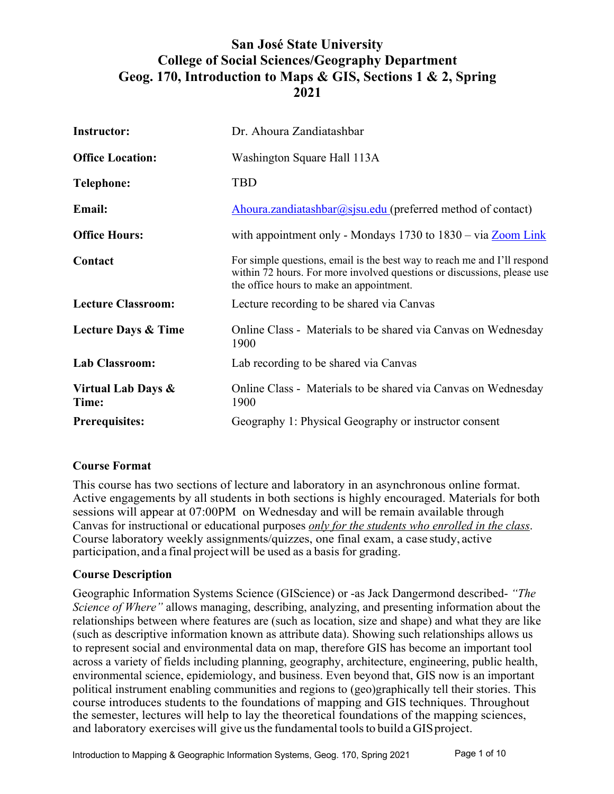# **San José State University College of Social Sciences/Geography Department Geog. 170, Introduction to Maps & GIS, Sections 1 & 2, Spring 2021**

| <b>Instructor:</b>             | Dr. Ahoura Zandiatashbar                                                                                                                                                                        |
|--------------------------------|-------------------------------------------------------------------------------------------------------------------------------------------------------------------------------------------------|
| <b>Office Location:</b>        | Washington Square Hall 113A                                                                                                                                                                     |
| <b>Telephone:</b>              | <b>TBD</b>                                                                                                                                                                                      |
| <b>Email:</b>                  | Ahoura.zandiatashbar@sjsu.edu (preferred method of contact)                                                                                                                                     |
| <b>Office Hours:</b>           | with appointment only - Mondays $1730$ to $1830 - via Zoom Link$                                                                                                                                |
| Contact                        | For simple questions, email is the best way to reach me and I'll respond<br>within 72 hours. For more involved questions or discussions, please use<br>the office hours to make an appointment. |
| <b>Lecture Classroom:</b>      | Lecture recording to be shared via Canvas                                                                                                                                                       |
| <b>Lecture Days &amp; Time</b> | Online Class - Materials to be shared via Canvas on Wednesday<br>1900                                                                                                                           |
| <b>Lab Classroom:</b>          | Lab recording to be shared via Canvas                                                                                                                                                           |
| Virtual Lab Days &<br>Time:    | Online Class - Materials to be shared via Canvas on Wednesday<br>1900                                                                                                                           |
| <b>Prerequisites:</b>          | Geography 1: Physical Geography or instructor consent                                                                                                                                           |

# **Course Format**

This course has two sections of lecture and laboratory in an asynchronous online format. Active engagements by all students in both sections is highly encouraged. Materials for both sessions will appear at 07:00PM on Wednesday and will be remain available through Canvas for instructional or educational purposes *only for the students who enrolled in the class*. Course laboratory weekly assignments/quizzes, one final exam, a case study, active participation, and a final projectwill be used as a basis for grading.

#### **Course Description**

Geographic Information Systems Science (GIScience) or -as Jack Dangermond described- *"The Science of Where"* allows managing, describing, analyzing, and presenting information about the relationships between where features are (such as location, size and shape) and what they are like (such as descriptive information known as attribute data). Showing such relationships allows us to represent social and environmental data on map, therefore GIS has become an important tool across a variety of fields including planning, geography, architecture, engineering, public health, environmental science, epidemiology, and business. Even beyond that, GIS now is an important political instrument enabling communities and regions to (geo)graphically tell their stories. This course introduces students to the foundations of mapping and GIS techniques. Throughout the semester, lectures will help to lay the theoretical foundations of the mapping sciences, and laboratory exercises will give usthe fundamental toolsto build a GISproject.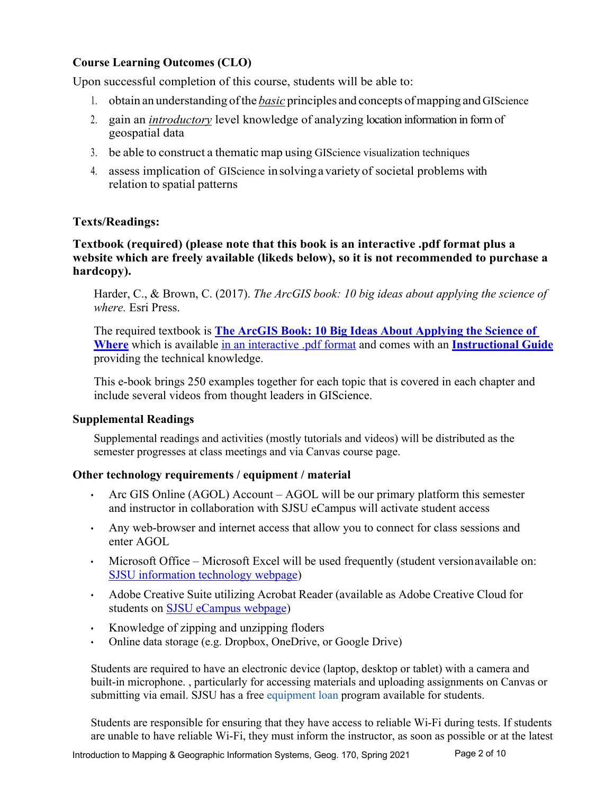# **Course Learning Outcomes (CLO)**

Upon successful completion of this course, students will be able to:

- 1. obtain an understanding ofthe *basic* principles and concepts ofmapping and GIScience
- 2. gain an *introductory* level knowledge of analyzing location information in form of geospatial data
- 3. be able to construct a thematic map using GIScience visualization techniques
- 4. assess implication of GIScience insolvingavarietyof societal problems with relation to spatial patterns

# **Texts/Readings:**

#### **Textbook (required) (please note that this book is an interactive .pdf format plus a website which are freely available (likeds below), so it is not recommended to purchase a hardcopy).**

Harder, C., & Brown, C. (2017). *The ArcGIS book: 10 big ideas about applying the science of where.* Esri Press.

The required textbook is **The ArcGIS Book: 10 Big Ideas About Applying the Science of Where** which is available in an interactive .pdf format and comes with an **Instructional Guide** providing the technical knowledge.

This e-book brings 250 examples together for each topic that is covered in each chapter and include several videos from thought leaders in GIScience.

#### **Supplemental Readings**

Supplemental readings and activities (mostly tutorials and videos) will be distributed as the semester progresses at class meetings and via Canvas course page.

# **Other technology requirements / equipment / material**

- Arc GIS Online (AGOL) Account AGOL will be our primary platform this semester and instructor in collaboration with SJSU eCampus will activate student access
- Any web-browser and internet access that allow you to connect for class sessions and enter AGOL
- Microsoft Office Microsoft Excel will be used frequently (student versionavailable on: SJSU information technology webpage)
- Adobe Creative Suite utilizing Acrobat Reader (available as Adobe Creative Cloud for students on SJSU eCampus webpage)
- Knowledge of zipping and unzipping floders
- Online data storage (e.g. Dropbox, OneDrive, or Google Drive)

Students are required to have an electronic device (laptop, desktop or tablet) with a camera and built-in microphone. , particularly for accessing materials and uploading assignments on Canvas or submitting via email. SJSU has a free equipment loan program available for students.

Students are responsible for ensuring that they have access to reliable Wi-Fi during tests. If students are unable to have reliable Wi-Fi, they must inform the instructor, as soon as possible or at the latest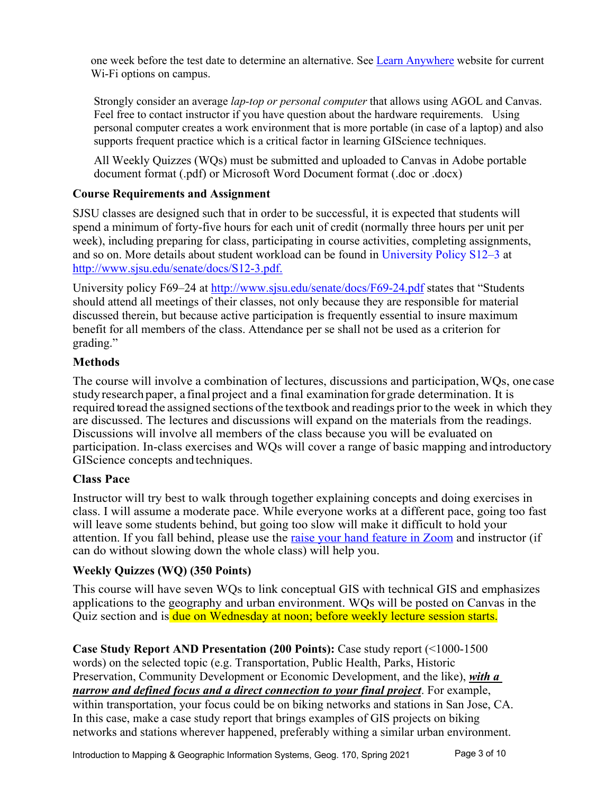one week before the test date to determine an alternative. See Learn Anywhere website for current Wi-Fi options on campus.

Strongly consider an average *lap-top or personal computer* that allows using AGOL and Canvas. Feel free to contact instructor if you have question about the hardware requirements. Using personal computer creates a work environment that is more portable (in case of a laptop) and also supports frequent practice which is a critical factor in learning GIScience techniques.

All Weekly Quizzes (WQs) must be submitted and uploaded to Canvas in Adobe portable document format (.pdf) or Microsoft Word Document format (.doc or .docx)

# **Course Requirements and Assignment**

SJSU classes are designed such that in order to be successful, it is expected that students will spend a minimum of forty-five hours for each unit of credit (normally three hours per unit per week), including preparing for class, participating in course activities, completing assignments, and so on. More details about student workload can be found in University Policy S12–3 at http://www.sjsu.edu/senate/docs/S12-3.pdf.

University policy F69–24 at http://www.sjsu.edu/senate/docs/F69-24.pdf states that "Students should attend all meetings of their classes, not only because they are responsible for material discussed therein, but because active participation is frequently essential to insure maximum benefit for all members of the class. Attendance per se shall not be used as a criterion for grading."

# **Methods**

The course will involve a combination of lectures, discussions and participation,WQs, one case study research paper, a final project and a final examination for grade determination. It is required to read the assigned sections of the textbook and readings prior to the week in which they are discussed. The lectures and discussions will expand on the materials from the readings. Discussions will involve all members of the class because you will be evaluated on participation. In-class exercises and WQs will cover a range of basic mapping andintroductory GIScience concepts and techniques.

# **Class Pace**

Instructor will try best to walk through together explaining concepts and doing exercises in class. I will assume a moderate pace. While everyone works at a different pace, going too fast will leave some students behind, but going too slow will make it difficult to hold your attention. If you fall behind, please use the raise your hand feature in Zoom and instructor (if can do without slowing down the whole class) will help you.

# **Weekly Quizzes (WQ) (350 Points)**

This course will have seven WQs to link conceptual GIS with technical GIS and emphasizes applications to the geography and urban environment. WQs will be posted on Canvas in the Quiz section and is due on Wednesday at noon; before weekly lecture session starts.

**Case Study Report AND Presentation (200 Points):** Case study report (<1000-1500 words) on the selected topic (e.g. Transportation, Public Health, Parks, Historic Preservation, Community Development or Economic Development, and the like), *with a narrow and defined focus and a direct connection to your final project*. For example, within transportation, your focus could be on biking networks and stations in San Jose, CA. In this case, make a case study report that brings examples of GIS projects on biking networks and stations wherever happened, preferably withing a similar urban environment.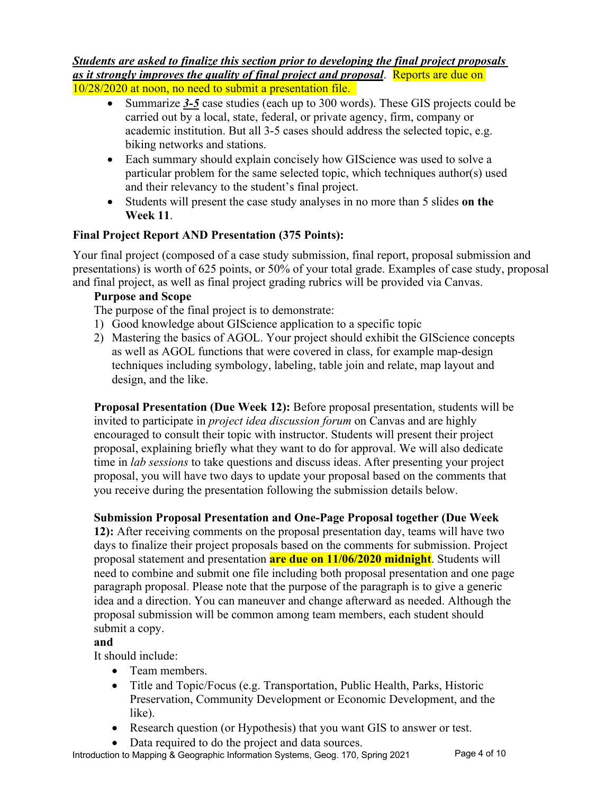#### *Students are asked to finalize this section prior to developing the final project proposals as it strongly improves the quality of final project and proposal*. Reports are due on 10/28/2020 at noon, no need to submit a presentation file.

- Summarize 3-5 case studies (each up to 300 words). These GIS projects could be carried out by a local, state, federal, or private agency, firm, company or academic institution. But all 3-5 cases should address the selected topic, e.g. biking networks and stations.
- Each summary should explain concisely how GIScience was used to solve a particular problem for the same selected topic, which techniques author(s) used and their relevancy to the student's final project.
- Students will present the case study analyses in no more than 5 slides **on the Week 11**.

# **Final Project Report AND Presentation (375 Points):**

Your final project (composed of a case study submission, final report, proposal submission and presentations) is worth of 625 points, or 50% of your total grade. Examples of case study, proposal and final project, as well as final project grading rubrics will be provided via Canvas.

# **Purpose and Scope**

The purpose of the final project is to demonstrate:

- 1) Good knowledge about GIScience application to a specific topic
- 2) Mastering the basics of AGOL. Your project should exhibit the GIScience concepts as well as AGOL functions that were covered in class, for example map-design techniques including symbology, labeling, table join and relate, map layout and design, and the like.

**Proposal Presentation (Due Week 12):** Before proposal presentation, students will be invited to participate in *project idea discussion forum* on Canvas and are highly encouraged to consult their topic with instructor. Students will present their project proposal, explaining briefly what they want to do for approval. We will also dedicate time in *lab sessions* to take questions and discuss ideas. After presenting your project proposal, you will have two days to update your proposal based on the comments that you receive during the presentation following the submission details below.

# **Submission Proposal Presentation and One-Page Proposal together (Due Week**

**12):** After receiving comments on the proposal presentation day, teams will have two days to finalize their project proposals based on the comments for submission. Project proposal statement and presentation **are due on 11/06/2020 midnight**. Students will need to combine and submit one file including both proposal presentation and one page paragraph proposal. Please note that the purpose of the paragraph is to give a generic idea and a direction. You can maneuver and change afterward as needed. Although the proposal submission will be common among team members, each student should submit a copy.

# **and**

It should include:

- Team members.
- Title and Topic/Focus (e.g. Transportation, Public Health, Parks, Historic Preservation, Community Development or Economic Development, and the like).
- Research question (or Hypothesis) that you want GIS to answer or test.
- Data required to do the project and data sources.

Introduction to Mapping & Geographic Information Systems, Geog. 170, Spring 2021 Page 4 of 10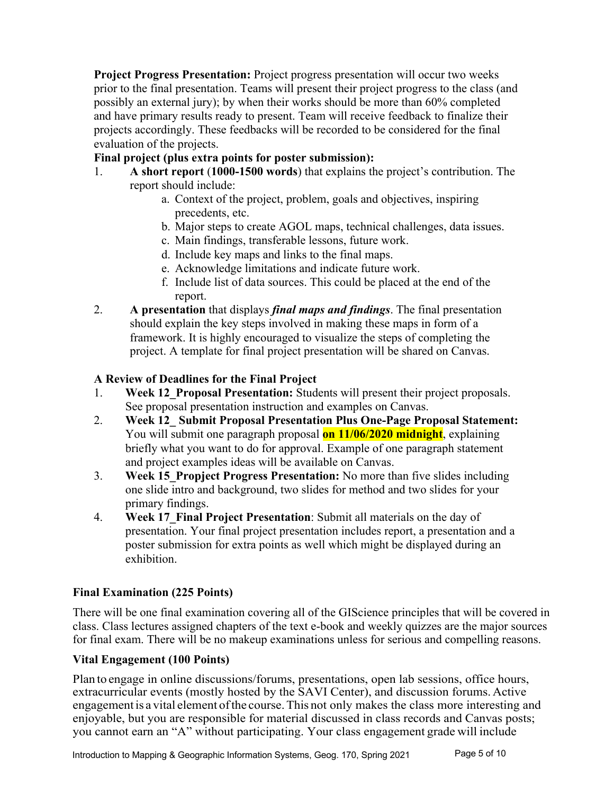**Project Progress Presentation:** Project progress presentation will occur two weeks prior to the final presentation. Teams will present their project progress to the class (and possibly an external jury); by when their works should be more than 60% completed and have primary results ready to present. Team will receive feedback to finalize their projects accordingly. These feedbacks will be recorded to be considered for the final evaluation of the projects.

# **Final project (plus extra points for poster submission):**

- 1. **A short report** (**1000-1500 words**) that explains the project's contribution. The report should include:
	- a. Context of the project, problem, goals and objectives, inspiring precedents, etc.
	- b. Major steps to create AGOL maps, technical challenges, data issues.
	- c. Main findings, transferable lessons, future work.
	- d. Include key maps and links to the final maps.
	- e. Acknowledge limitations and indicate future work.
	- f. Include list of data sources. This could be placed at the end of the report.
- 2. **A presentation** that displays *final maps and findings*. The final presentation should explain the key steps involved in making these maps in form of a framework. It is highly encouraged to visualize the steps of completing the project. A template for final project presentation will be shared on Canvas.

# **A Review of Deadlines for the Final Project**

- 1. **Week 12\_Proposal Presentation:** Students will present their project proposals. See proposal presentation instruction and examples on Canvas.
- 2. **Week 12\_ Submit Proposal Presentation Plus One-Page Proposal Statement:** You will submit one paragraph proposal **on 11/06/2020 midnight**, explaining briefly what you want to do for approval. Example of one paragraph statement and project examples ideas will be available on Canvas.
- 3. **Week 15\_Propject Progress Presentation:** No more than five slides including one slide intro and background, two slides for method and two slides for your primary findings.
- 4. **Week 17\_Final Project Presentation**: Submit all materials on the day of presentation. Your final project presentation includes report, a presentation and a poster submission for extra points as well which might be displayed during an exhibition.

# **Final Examination (225 Points)**

There will be one final examination covering all of the GIScience principles that will be covered in class. Class lectures assigned chapters of the text e-book and weekly quizzes are the major sources for final exam. There will be no makeup examinations unless for serious and compelling reasons.

# **Vital Engagement (100 Points)**

Plan to engage in online discussions/forums, presentations, open lab sessions, office hours, extracurricular events (mostly hosted by the SAVI Center), and discussion forums. Active engagement is a vital element of the course. This not only makes the class more interesting and enjoyable, but you are responsible for material discussed in class records and Canvas posts; you cannot earn an "A" without participating. Your class engagement grade will include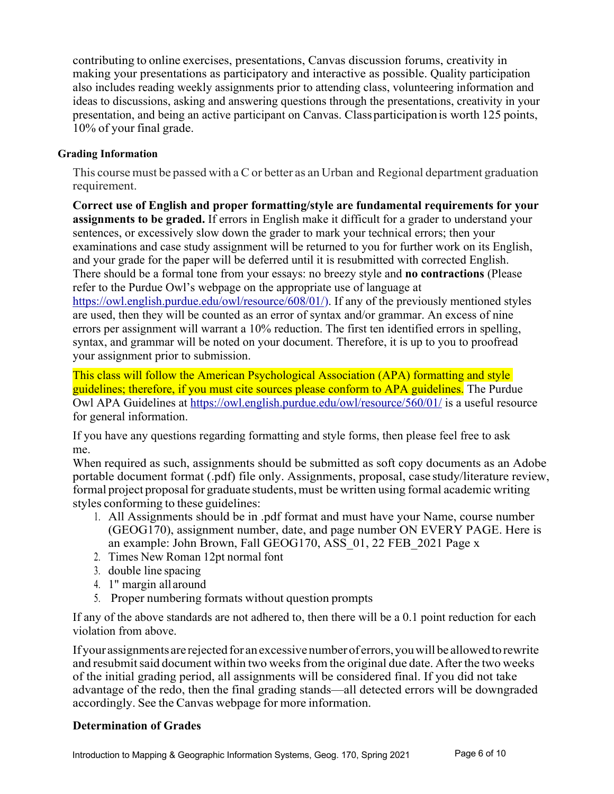contributing to online exercises, presentations, Canvas discussion forums, creativity in making your presentations as participatory and interactive as possible. Quality participation also includes reading weekly assignments prior to attending class, volunteering information and ideas to discussions, asking and answering questions through the presentations, creativity in your presentation, and being an active participant on Canvas. Class participation is worth 125 points, 10% of your final grade.

#### **Grading Information**

This course must be passed with a C or better as an Urban and Regional department graduation requirement.

**Correct use of English and proper formatting/style are fundamental requirements for your assignments to be graded.** If errors in English make it difficult for a grader to understand your sentences, or excessively slow down the grader to mark your technical errors; then your examinations and case study assignment will be returned to you for further work on its English, and your grade for the paper will be deferred until it is resubmitted with corrected English. There should be a formal tone from your essays: no breezy style and **no contractions** (Please refer to the Purdue Owl's webpage on the appropriate use of language at https://owl.english.purdue.edu/owl/resource/608/01/). If any of the previously mentioned styles are used, then they will be counted as an error of syntax and/or grammar. An excess of nine errors per assignment will warrant a 10% reduction. The first ten identified errors in spelling, syntax, and grammar will be noted on your document. Therefore, it is up to you to proofread your assignment prior to submission.

This class will follow the American Psychological Association (APA) formatting and style guidelines; therefore, if you must cite sources please conform to APA guidelines. The Purdue Owl APA Guidelines at https://owl.english.purdue.edu/owl/resource/560/01/ is a useful resource for general information.

If you have any questions regarding formatting and style forms, then please feel free to ask me.

When required as such, assignments should be submitted as soft copy documents as an Adobe portable document format (.pdf) file only. Assignments, proposal, case study/literature review, formal project proposal for graduate students, must be written using formal academic writing styles conforming to these guidelines:

- 1. All Assignments should be in .pdf format and must have your Name, course number (GEOG170), assignment number, date, and page number ON EVERY PAGE. Here is an example: John Brown, Fall GEOG170, ASS\_01, 22 FEB\_2021 Page x
- 2. Times New Roman 12pt normal font
- 3. double line spacing
- 4. 1" margin all around
- 5. Proper numbering formats without question prompts

If any of the above standards are not adhered to, then there will be a 0.1 point reduction for each violation from above.

Ifyour assignments are rejectedfor anexcessivenumberof errors,youwill be allowedto rewrite and resubmit said document within two weeks from the original due date. After the two weeks of the initial grading period, all assignments will be considered final. If you did not take advantage of the redo, then the final grading stands—all detected errors will be downgraded accordingly. See the Canvas webpage for more information.

# **Determination of Grades**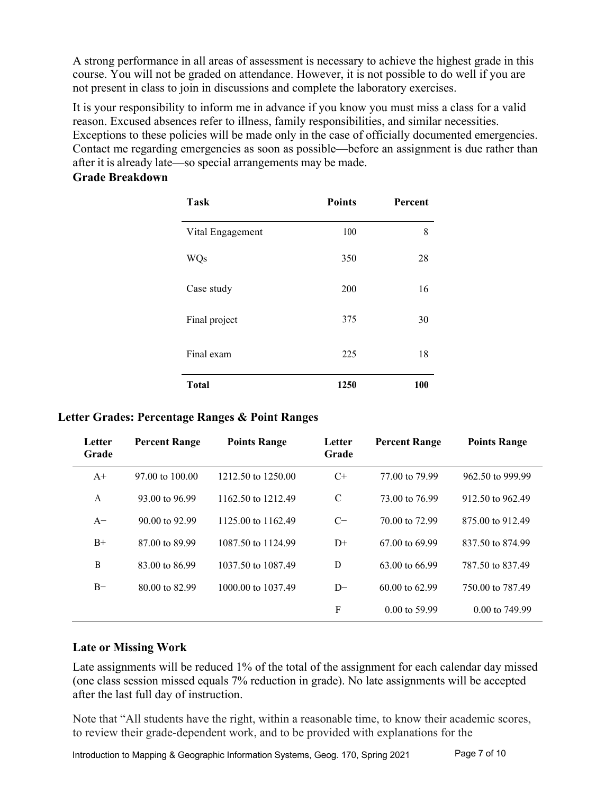A strong performance in all areas of assessment is necessary to achieve the highest grade in this course. You will not be graded on attendance. However, it is not possible to do well if you are not present in class to join in discussions and complete the laboratory exercises.

It is your responsibility to inform me in advance if you know you must miss a class for a valid reason. Excused absences refer to illness, family responsibilities, and similar necessities. Exceptions to these policies will be made only in the case of officially documented emergencies. Contact me regarding emergencies as soon as possible—before an assignment is due rather than after it is already late—so special arrangements may be made.

# **Grade Breakdown**

| Task             | <b>Points</b> | <b>Percent</b> |
|------------------|---------------|----------------|
| Vital Engagement | 100           | 8              |
| <b>WQs</b>       | 350           | 28             |
| Case study       | 200           | 16             |
| Final project    | 375           | 30             |
| Final exam       | 225           | 18             |
| <b>Total</b>     | 1250          | <b>100</b>     |

# **Letter Grades: Percentage Ranges & Point Ranges**

| Letter<br>Grade | <b>Percent Range</b>       | <b>Points Range</b> | Letter<br>Grade | <b>Percent Range</b>      | <b>Points Range</b>       |
|-----------------|----------------------------|---------------------|-----------------|---------------------------|---------------------------|
| $A^+$           | $97.00 \text{ to } 100.00$ | 1212.50 to 1250.00  | $C+$            | 77,00 to 79.99            | 962.50 to 999.99          |
| A               | 93.00 to 96.99             | 1162.50 to 1212.49  | C               | 73.00 to 76.99            | 912.50 to 962.49          |
| $A-$            | 90.00 to 92.99             | 1125.00 to 1162.49  | $C-$            | 70.00 to 72.99            | 875,00 to 912.49          |
| $B+$            | 87.00 to 89.99             | 1087.50 to 1124.99  | $D+$            | 67.00 to 69.99            | 837.50 to 874.99          |
| B               | 83,00 to 86.99             | 1037.50 to 1087.49  | D               | $63.00 \text{ to } 66.99$ | 787.50 to 837.49          |
| $B-$            | 80.00 to 82.99             | 1000.00 to 1037.49  | $D-$            | $60.00$ to $62.99$        | 750,00 to 787.49          |
|                 |                            |                     | $\mathbf{F}$    | $0.00 \text{ to } 59.99$  | $0.00 \text{ to } 749.99$ |

# **Late or Missing Work**

Late assignments will be reduced 1% of the total of the assignment for each calendar day missed (one class session missed equals 7% reduction in grade). No late assignments will be accepted after the last full day of instruction.

Note that "All students have the right, within a reasonable time, to know their academic scores, to review their grade-dependent work, and to be provided with explanations for the

Introduction to Mapping & Geographic Information Systems, Geog. 170, Spring 2021 Page 7 of 10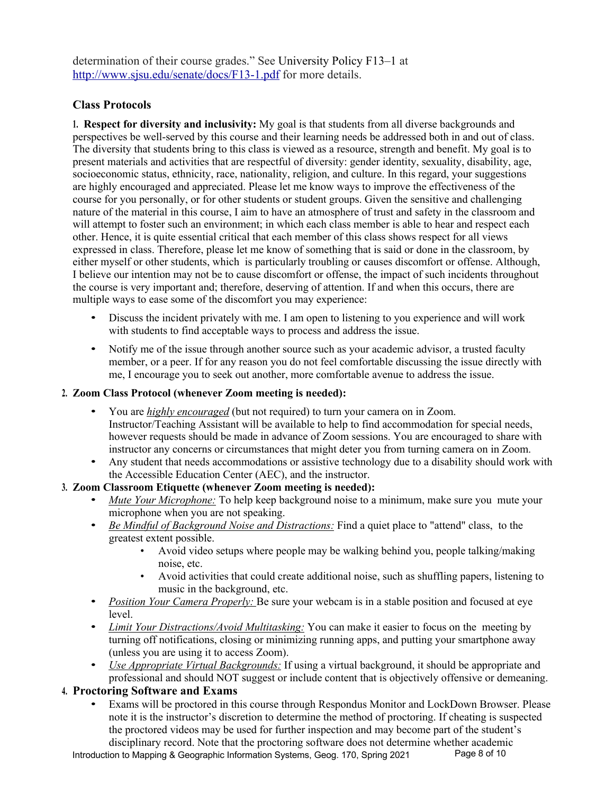determination of their course grades." See University Policy F13–1 at http://www.sjsu.edu/senate/docs/F13-1.pdf for more details.

#### **Class Protocols**

**1. Respect for diversity and inclusivity:** My goal is that students from all diverse backgrounds and perspectives be well-served by this course and their learning needs be addressed both in and out of class. The diversity that students bring to this class is viewed as a resource, strength and benefit. My goal is to present materials and activities that are respectful of diversity: gender identity, sexuality, disability, age, socioeconomic status, ethnicity, race, nationality, religion, and culture. In this regard, your suggestions are highly encouraged and appreciated. Please let me know ways to improve the effectiveness of the course for you personally, or for other students or student groups. Given the sensitive and challenging nature of the material in this course, I aim to have an atmosphere of trust and safety in the classroom and will attempt to foster such an environment; in which each class member is able to hear and respect each other. Hence, it is quite essential critical that each member of this class shows respect for all views expressed in class. Therefore, please let me know of something that is said or done in the classroom, by either myself or other students, which is particularly troubling or causes discomfort or offense. Although, I believe our intention may not be to cause discomfort or offense, the impact of such incidents throughout the course is very important and; therefore, deserving of attention. If and when this occurs, there are multiple ways to ease some of the discomfort you may experience:

- Discuss the incident privately with me. I am open to listening to you experience and will work with students to find acceptable ways to process and address the issue.
- Notify me of the issue through another source such as your academic advisor, a trusted faculty member, or a peer. If for any reason you do not feel comfortable discussing the issue directly with me, I encourage you to seek out another, more comfortable avenue to address the issue.

#### **2. Zoom Class Protocol (whenever Zoom meeting is needed):**

- You are *highly encouraged* (but not required) to turn your camera on in Zoom. Instructor/Teaching Assistant will be available to help to find accommodation for special needs, however requests should be made in advance of Zoom sessions. You are encouraged to share with instructor any concerns or circumstances that might deter you from turning camera on in Zoom.
- Any student that needs accommodations or assistive technology due to a disability should work with the Accessible Education Center (AEC), and the instructor.

#### **3. Zoom Classroom Etiquette (whenever Zoom meeting is needed):**

- *Mute Your Microphone:* To help keep background noise to a minimum, make sure you mute your microphone when you are not speaking.
- *Be Mindful of Background Noise and Distractions:* Find a quiet place to "attend" class, to the greatest extent possible.
	- Avoid video setups where people may be walking behind you, people talking/making noise, etc.
	- Avoid activities that could create additional noise, such as shuffling papers, listening to music in the background, etc.
- *Position Your Camera Properly:* Be sure your webcam is in a stable position and focused at eye level.
- *Limit Your Distractions/Avoid Multitasking:* You can make it easier to focus on the meeting by turning off notifications, closing or minimizing running apps, and putting your smartphone away (unless you are using it to access Zoom).
- *Use Appropriate Virtual Backgrounds:* If using a virtual background, it should be appropriate and professional and should NOT suggest or include content that is objectively offensive or demeaning.

#### **4. Proctoring Software and Exams**

• Exams will be proctored in this course through Respondus Monitor and LockDown Browser. Please note it is the instructor's discretion to determine the method of proctoring. If cheating is suspected the proctored videos may be used for further inspection and may become part of the student's disciplinary record. Note that the proctoring software does not determine whether academic

Introduction to Mapping & Geographic Information Systems, Geog. 170, Spring 2021 Page 8 of 10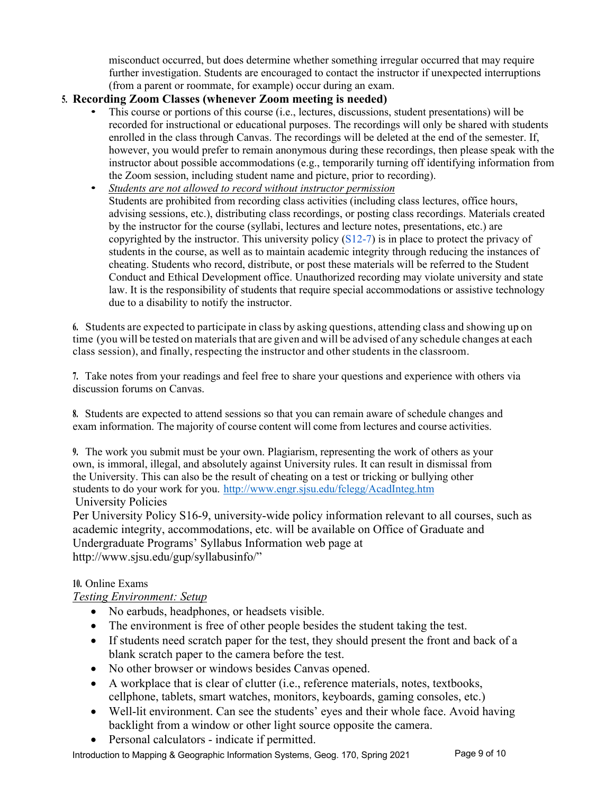misconduct occurred, but does determine whether something irregular occurred that may require further investigation. Students are encouraged to contact the instructor if unexpected interruptions (from a parent or roommate, for example) occur during an exam.

### **5. Recording Zoom Classes (whenever Zoom meeting is needed)**

- This course or portions of this course (i.e., lectures, discussions, student presentations) will be recorded for instructional or educational purposes. The recordings will only be shared with students enrolled in the class through Canvas. The recordings will be deleted at the end of the semester. If, however, you would prefer to remain anonymous during these recordings, then please speak with the instructor about possible accommodations (e.g., temporarily turning off identifying information from the Zoom session, including student name and picture, prior to recording).
- *Students are not allowed to record without instructor permission* Students are prohibited from recording class activities (including class lectures, office hours, advising sessions, etc.), distributing class recordings, or posting class recordings. Materials created by the instructor for the course (syllabi, lectures and lecture notes, presentations, etc.) are copyrighted by the instructor. This university policy  $(S12-7)$  is in place to protect the privacy of students in the course, as well as to maintain academic integrity through reducing the instances of cheating. Students who record, distribute, or post these materials will be referred to the Student Conduct and Ethical Development office. Unauthorized recording may violate university and state law. It is the responsibility of students that require special accommodations or assistive technology due to a disability to notify the instructor.

**6.** Students are expected to participate in class by asking questions, attending class and showing up on time (you will be tested on materials that are given and will be advised of any schedule changes at each class session), and finally, respecting the instructor and other students in the classroom.

**7.** Take notes from your readings and feel free to share your questions and experience with others via discussion forums on Canvas.

**8.** Students are expected to attend sessions so that you can remain aware of schedule changes and exam information. The majority of course content will come from lectures and course activities.

**9.** The work you submit must be your own. Plagiarism, representing the work of others as your own, is immoral, illegal, and absolutely against University rules. It can result in dismissal from the University. This can also be the result of cheating on a test or tricking or bullying other students to do your work for you. http://www.engr.sjsu.edu/fclegg/AcadInteg.htm University Policies

Per University Policy S16-9, university-wide policy information relevant to all courses, such as academic integrity, accommodations, etc. will be available on Office of Graduate and Undergraduate Programs' Syllabus Information web page at http://www.sjsu.edu/gup/syllabusinfo/"

#### **10.** Online Exams

#### *Testing Environment: Setup*

- No earbuds, headphones, or headsets visible.
- The environment is free of other people besides the student taking the test.
- If students need scratch paper for the test, they should present the front and back of a blank scratch paper to the camera before the test.
- No other browser or windows besides Canvas opened.
- A workplace that is clear of clutter (i.e., reference materials, notes, textbooks, cellphone, tablets, smart watches, monitors, keyboards, gaming consoles, etc.)
- Well-lit environment. Can see the students' eyes and their whole face. Avoid having backlight from a window or other light source opposite the camera.
- Personal calculators indicate if permitted.

Introduction to Mapping & Geographic Information Systems, Geog. 170, Spring 2021 Page 9 of 10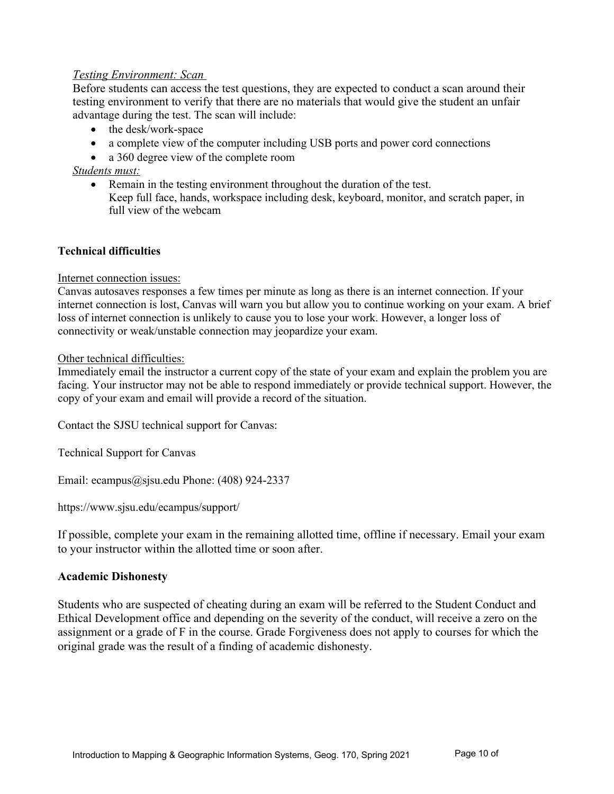#### *Testing Environment: Scan*

Before students can access the test questions, they are expected to conduct a scan around their testing environment to verify that there are no materials that would give the student an unfair advantage during the test. The scan will include:

- the desk/work-space
- a complete view of the computer including USB ports and power cord connections
- a 360 degree view of the complete room

*Students must:*

• Remain in the testing environment throughout the duration of the test. Keep full face, hands, workspace including desk, keyboard, monitor, and scratch paper, in full view of the webcam

#### **Technical difficulties**

Internet connection issues:

Canvas autosaves responses a few times per minute as long as there is an internet connection. If your internet connection is lost, Canvas will warn you but allow you to continue working on your exam. A brief loss of internet connection is unlikely to cause you to lose your work. However, a longer loss of connectivity or weak/unstable connection may jeopardize your exam.

#### Other technical difficulties:

Immediately email the instructor a current copy of the state of your exam and explain the problem you are facing. Your instructor may not be able to respond immediately or provide technical support. However, the copy of your exam and email will provide a record of the situation.

Contact the SJSU technical support for Canvas:

Technical Support for Canvas

Email: ecampus@sjsu.edu Phone: (408) 924-2337

https://www.sjsu.edu/ecampus/support/

If possible, complete your exam in the remaining allotted time, offline if necessary. Email your exam to your instructor within the allotted time or soon after.

#### **Academic Dishonesty**

Students who are suspected of cheating during an exam will be referred to the Student Conduct and Ethical Development office and depending on the severity of the conduct, will receive a zero on the assignment or a grade of F in the course. Grade Forgiveness does not apply to courses for which the original grade was the result of a finding of academic dishonesty.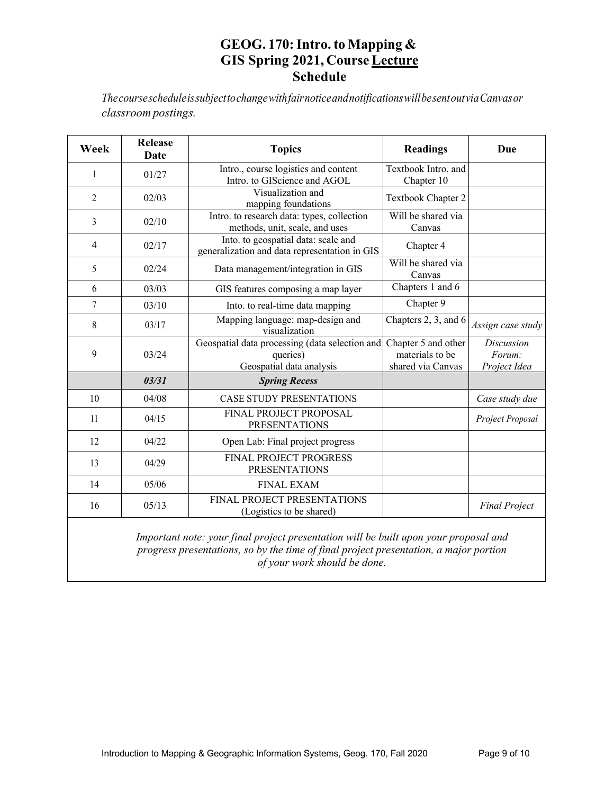# **GEOG. 170:Intro. to Mapping & GIS Spring 2021, Course Lecture Schedule**

*ThecoursescheduleissubjecttochangewithfairnoticeandnotificationswillbesentoutviaCanvasor classroom postings.*

| Week           | <b>Release</b><br>Date | <b>Topics</b>                                                                          | <b>Readings</b>                                             | Due                                         |
|----------------|------------------------|----------------------------------------------------------------------------------------|-------------------------------------------------------------|---------------------------------------------|
| 1              | 01/27                  | Intro., course logistics and content<br>Intro. to GIScience and AGOL                   | Textbook Intro. and<br>Chapter 10                           |                                             |
| $\overline{c}$ | 02/03                  | Visualization and<br>mapping foundations                                               | Textbook Chapter 2                                          |                                             |
| 3              | 02/10                  | Intro. to research data: types, collection<br>methods, unit, scale, and uses           | Will be shared via<br>Canvas                                |                                             |
| 4              | 02/17                  | Into. to geospatial data: scale and<br>generalization and data representation in GIS   | Chapter 4                                                   |                                             |
| 5              | 02/24                  | Data management/integration in GIS                                                     | Will be shared via<br>Canvas                                |                                             |
| 6              | 03/03                  | GIS features composing a map layer                                                     | Chapters 1 and 6                                            |                                             |
| 7              | 03/10                  | Into. to real-time data mapping                                                        | Chapter 9                                                   |                                             |
| 8              | 03/17                  | Mapping language: map-design and<br>visualization                                      | Chapters 2, 3, and 6                                        | Assign case study                           |
| 9              | 03/24                  | Geospatial data processing (data selection and<br>queries)<br>Geospatial data analysis | Chapter 5 and other<br>materials to be<br>shared via Canvas | <b>Discussion</b><br>Forum:<br>Project Idea |
|                | 03/31                  | <b>Spring Recess</b>                                                                   |                                                             |                                             |
| 10             | 04/08                  | <b>CASE STUDY PRESENTATIONS</b>                                                        |                                                             | Case study due                              |
| 11             | 04/15                  | FINAL PROJECT PROPOSAL<br><b>PRESENTATIONS</b>                                         |                                                             | Project Proposal                            |
| 12             | 04/22                  | Open Lab: Final project progress                                                       |                                                             |                                             |
| 13             | 04/29                  | <b>FINAL PROJECT PROGRESS</b><br><b>PRESENTATIONS</b>                                  |                                                             |                                             |
| 14             | 05/06                  | <b>FINAL EXAM</b>                                                                      |                                                             |                                             |
| 16             | 05/13                  | FINAL PROJECT PRESENTATIONS<br>(Logistics to be shared)                                |                                                             | <b>Final Project</b>                        |
|                |                        | Important note: your final project presentation will be built upon your proposal and   |                                                             |                                             |

*Important note: your final project presentation will be built upon your proposal and progress presentations, so by the time of final project presentation, a major portion of your work should be done.*